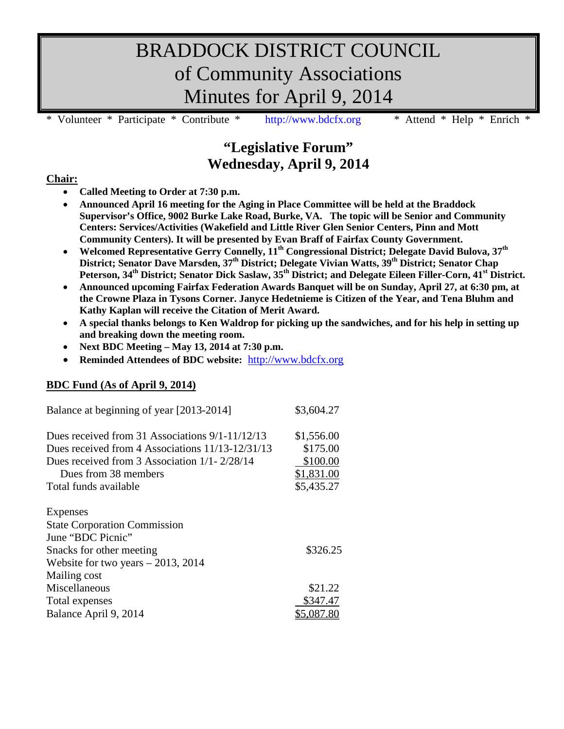# BRADDOCK DISTRICT COUNCIL of Community Associations Minutes for April 9, 2014

Volunteer \* Participate \* Contribute \* [http://www.bdcfx.org](http://www.bdcfx.org/) \* Attend \* Help \* Enrich \*

# **"Legislative Forum" Wednesday, April 9, 2014**

### **Chair:**

- **Called Meeting to Order at 7:30 p.m.**
- **Announced April 16 meeting for the Aging in Place Committee will be held at the Braddock Supervisor's Office, 9002 Burke Lake Road, Burke, VA. The topic will be Senior and Community Centers: Services/Activities (Wakefield and Little River Glen Senior Centers, Pinn and Mott Community Centers). It will be presented by Evan Braff of Fairfax County Government.**
- **Welcomed Representative Gerry Connelly, 11th Congressional District; Delegate David Bulova, 37th District; Senator Dave Marsden, 37th District; Delegate Vivian Watts, 39th District; Senator Chap Peterson, 34th District; Senator Dick Saslaw, 35th District; and Delegate Eileen Filler-Corn, 41st District.**
- **Announced upcoming Fairfax Federation Awards Banquet will be on Sunday, April 27, at 6:30 pm, at the Crowne Plaza in Tysons Corner. Janyce Hedetnieme is Citizen of the Year, and Tena Bluhm and Kathy Kaplan will receive the Citation of Merit Award.**
- **A special thanks belongs to Ken Waldrop for picking up the sandwiches, and for his help in setting up and breaking down the meeting room.**
- **Next BDC Meeting – May 13, 2014 at 7:30 p.m.**
- **Reminded Attendees of BDC website:** [http://www.bdcfx.org](http://www.bdcfx.org/)

### **BDC Fund (As of April 9, 2014)**

| Balance at beginning of year [2013-2014]          | \$3,604.27 |
|---------------------------------------------------|------------|
| Dues received from 31 Associations $9/1-11/12/13$ | \$1,556.00 |
| Dues received from 4 Associations 11/13-12/31/13  | \$175.00   |
| Dues received from 3 Association $1/1 - 2/28/14$  | \$100.00   |
| Dues from 38 members                              | \$1,831.00 |
| Total funds available                             | \$5,435.27 |
| Expenses                                          |            |
| <b>State Corporation Commission</b>               |            |
| June "BDC Picnic"                                 |            |
| Snacks for other meeting                          | \$326.25   |
| Website for two years $-2013$ , 2014              |            |
| Mailing cost                                      |            |
| Miscellaneous                                     | \$21.22    |
| Total expenses                                    | \$347.47   |
| Balance April 9, 2014                             | \$5,087.80 |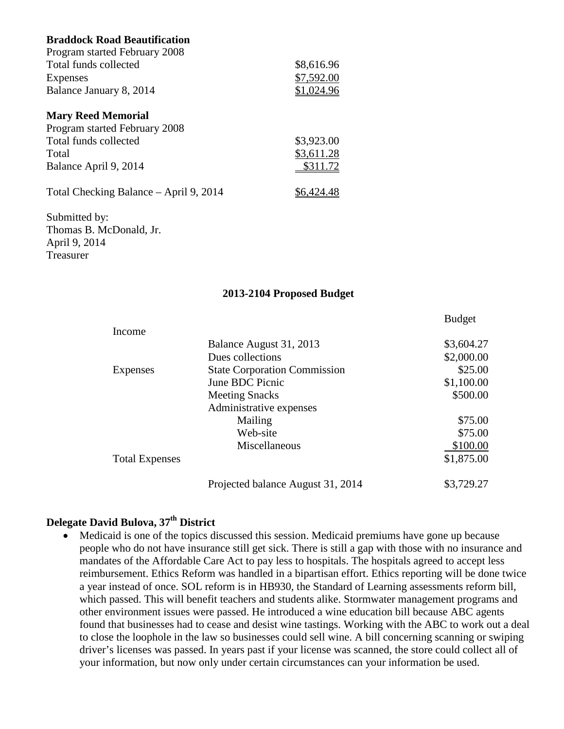### **Braddock Road Beautification**

| Program started February 2008          |            |
|----------------------------------------|------------|
| Total funds collected                  | \$8,616.96 |
| Expenses                               | \$7,592.00 |
| Balance January 8, 2014                | \$1,024.96 |
| <b>Mary Reed Memorial</b>              |            |
| Program started February 2008          |            |
| Total funds collected                  | \$3,923.00 |
| Total                                  | \$3,611.28 |
| Balance April 9, 2014                  | \$311.72   |
| Total Checking Balance – April 9, 2014 | \$6,424.48 |
| Submitted by:                          |            |
| Thomas B. McDonald, Jr.                |            |
| April 9, 2014                          |            |
| Treasurer                              |            |

#### **2013-2104 Proposed Budget**

Budget

|                       |                                     | $200-0$    |
|-----------------------|-------------------------------------|------------|
| Income                |                                     |            |
|                       | Balance August 31, 2013             | \$3,604.27 |
|                       | Dues collections                    | \$2,000.00 |
| Expenses              | <b>State Corporation Commission</b> | \$25.00    |
|                       | June BDC Picnic                     | \$1,100.00 |
|                       | <b>Meeting Snacks</b>               | \$500.00   |
|                       | Administrative expenses             |            |
|                       | Mailing                             | \$75.00    |
|                       | Web-site                            | \$75.00    |
|                       | Miscellaneous                       | \$100.00   |
| <b>Total Expenses</b> |                                     | \$1,875.00 |
|                       | Projected balance August 31, 2014   | \$3,729.27 |

### **Delegate David Bulova, 37th District**

• Medicaid is one of the topics discussed this session. Medicaid premiums have gone up because people who do not have insurance still get sick. There is still a gap with those with no insurance and mandates of the Affordable Care Act to pay less to hospitals. The hospitals agreed to accept less reimbursement. Ethics Reform was handled in a bipartisan effort. Ethics reporting will be done twice a year instead of once. SOL reform is in HB930, the Standard of Learning assessments reform bill, which passed. This will benefit teachers and students alike. Stormwater management programs and other environment issues were passed. He introduced a wine education bill because ABC agents found that businesses had to cease and desist wine tastings. Working with the ABC to work out a deal to close the loophole in the law so businesses could sell wine. A bill concerning scanning or swiping driver's licenses was passed. In years past if your license was scanned, the store could collect all of your information, but now only under certain circumstances can your information be used.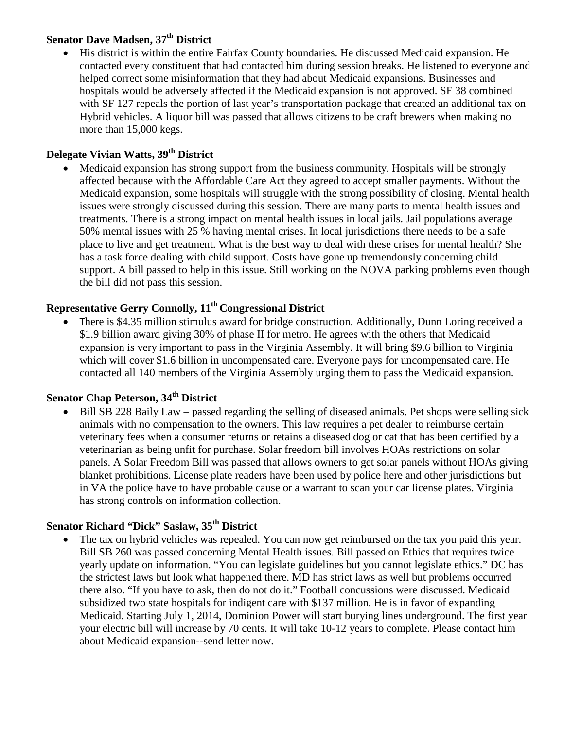# **Senator Dave Madsen, 37th District**

• His district is within the entire Fairfax County boundaries. He discussed Medicaid expansion. He contacted every constituent that had contacted him during session breaks. He listened to everyone and helped correct some misinformation that they had about Medicaid expansions. Businesses and hospitals would be adversely affected if the Medicaid expansion is not approved. SF 38 combined with SF 127 repeals the portion of last year's transportation package that created an additional tax on Hybrid vehicles. A liquor bill was passed that allows citizens to be craft brewers when making no more than 15,000 kegs.

## **Delegate Vivian Watts, 39th District**

• Medicaid expansion has strong support from the business community. Hospitals will be strongly affected because with the Affordable Care Act they agreed to accept smaller payments. Without the Medicaid expansion, some hospitals will struggle with the strong possibility of closing. Mental health issues were strongly discussed during this session. There are many parts to mental health issues and treatments. There is a strong impact on mental health issues in local jails. Jail populations average 50% mental issues with 25 % having mental crises. In local jurisdictions there needs to be a safe place to live and get treatment. What is the best way to deal with these crises for mental health? She has a task force dealing with child support. Costs have gone up tremendously concerning child support. A bill passed to help in this issue. Still working on the NOVA parking problems even though the bill did not pass this session.

## **Representative Gerry Connolly, 11th Congressional District**

• There is \$4.35 million stimulus award for bridge construction. Additionally, Dunn Loring received a \$1.9 billion award giving 30% of phase II for metro. He agrees with the others that Medicaid expansion is very important to pass in the Virginia Assembly. It will bring \$9.6 billion to Virginia which will cover \$1.6 billion in uncompensated care. Everyone pays for uncompensated care. He contacted all 140 members of the Virginia Assembly urging them to pass the Medicaid expansion.

# **Senator Chap Peterson, 34th District**

• Bill SB 228 Baily Law – passed regarding the selling of diseased animals. Pet shops were selling sick animals with no compensation to the owners. This law requires a pet dealer to reimburse certain veterinary fees when a consumer returns or retains a diseased dog or cat that has been certified by a veterinarian as being unfit for purchase. Solar freedom bill involves HOAs restrictions on solar panels. A Solar Freedom Bill was passed that allows owners to get solar panels without HOAs giving blanket prohibitions. License plate readers have been used by police here and other jurisdictions but in VA the police have to have probable cause or a warrant to scan your car license plates. Virginia has strong controls on information collection.

## **Senator Richard "Dick" Saslaw, 35th District**

• The tax on hybrid vehicles was repealed. You can now get reimbursed on the tax you paid this year. Bill SB 260 was passed concerning Mental Health issues. Bill passed on Ethics that requires twice yearly update on information. "You can legislate guidelines but you cannot legislate ethics." DC has the strictest laws but look what happened there. MD has strict laws as well but problems occurred there also. "If you have to ask, then do not do it." Football concussions were discussed. Medicaid subsidized two state hospitals for indigent care with \$137 million. He is in favor of expanding Medicaid. Starting July 1, 2014, Dominion Power will start burying lines underground. The first year your electric bill will increase by 70 cents. It will take 10-12 years to complete. Please contact him about Medicaid expansion--send letter now.